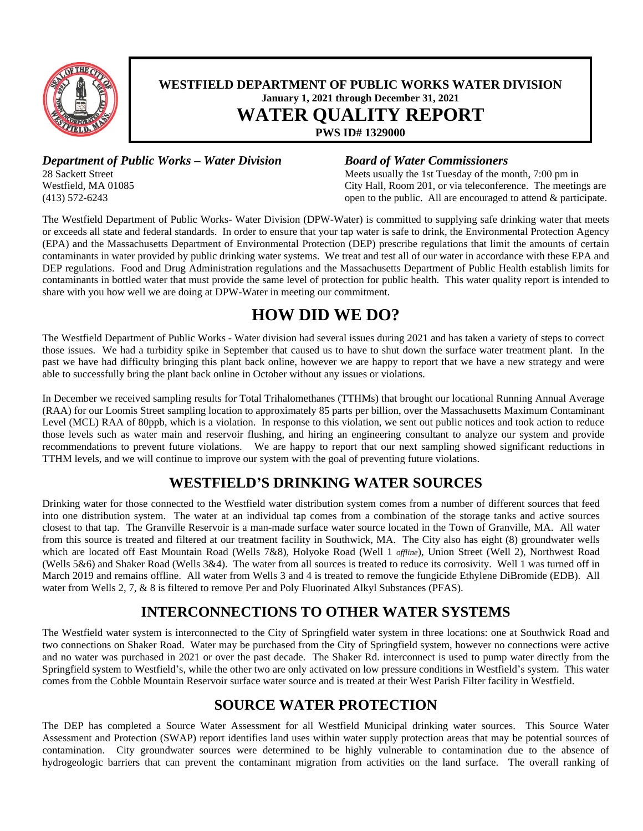

### **WESTFIELD DEPARTMENT OF PUBLIC WORKS WATER DIVISION January 1, 2021 through December 31, 2021 WATER QUALITY REPORT**

**PWS ID# 1329000**

*Department of Public Works – Water Division Board of Water Commissioners*<br>28 Sackett Street *Meets usually the 1st Tuesday of the m* 

Meets usually the 1st Tuesday of the month, 7:00 pm in Westfield, MA 01085 City Hall, Room 201, or via teleconference. The meetings are (413) 572-6243 open to the public. All are encouraged to attend & participate.

The Westfield Department of Public Works- Water Division (DPW-Water) is committed to supplying safe drinking water that meets or exceeds all state and federal standards. In order to ensure that your tap water is safe to drink, the Environmental Protection Agency (EPA) and the Massachusetts Department of Environmental Protection (DEP) prescribe regulations that limit the amounts of certain contaminants in water provided by public drinking water systems. We treat and test all of our water in accordance with these EPA and DEP regulations. Food and Drug Administration regulations and the Massachusetts Department of Public Health establish limits for contaminants in bottled water that must provide the same level of protection for public health. This water quality report is intended to share with you how well we are doing at DPW-Water in meeting our commitment.

# **HOW DID WE DO?**

The Westfield Department of Public Works - Water division had several issues during 2021 and has taken a variety of steps to correct those issues. We had a turbidity spike in September that caused us to have to shut down the surface water treatment plant. In the past we have had difficulty bringing this plant back online, however we are happy to report that we have a new strategy and were able to successfully bring the plant back online in October without any issues or violations.

In December we received sampling results for Total Trihalomethanes (TTHMs) that brought our locational Running Annual Average (RAA) for our Loomis Street sampling location to approximately 85 parts per billion, over the Massachusetts Maximum Contaminant Level (MCL) RAA of 80ppb, which is a violation. In response to this violation, we sent out public notices and took action to reduce those levels such as water main and reservoir flushing, and hiring an engineering consultant to analyze our system and provide recommendations to prevent future violations. We are happy to report that our next sampling showed significant reductions in TTHM levels, and we will continue to improve our system with the goal of preventing future violations.

# **WESTFIELD'S DRINKING WATER SOURCES**

Drinking water for those connected to the Westfield water distribution system comes from a number of different sources that feed into one distribution system. The water at an individual tap comes from a combination of the storage tanks and active sources closest to that tap. The Granville Reservoir is a man-made surface water source located in the Town of Granville, MA. All water from this source is treated and filtered at our treatment facility in Southwick, MA. The City also has eight (8) groundwater wells which are located off East Mountain Road (Wells 7&8), Holyoke Road (Well 1 *offline*), Union Street (Well 2), Northwest Road (Wells 5&6) and Shaker Road (Wells 3&4). The water from all sources is treated to reduce its corrosivity. Well 1 was turned off in March 2019 and remains offline. All water from Wells 3 and 4 is treated to remove the fungicide Ethylene DiBromide (EDB). All water from Wells 2, 7, & 8 is filtered to remove Per and Poly Fluorinated Alkyl Substances (PFAS).

# **INTERCONNECTIONS TO OTHER WATER SYSTEMS**

The Westfield water system is interconnected to the City of Springfield water system in three locations: one at Southwick Road and two connections on Shaker Road. Water may be purchased from the City of Springfield system, however no connections were active and no water was purchased in 2021 or over the past decade. The Shaker Rd. interconnect is used to pump water directly from the Springfield system to Westfield's, while the other two are only activated on low pressure conditions in Westfield's system. This water comes from the Cobble Mountain Reservoir surface water source and is treated at their West Parish Filter facility in Westfield.

# **SOURCE WATER PROTECTION**

The DEP has completed a Source Water Assessment for all Westfield Municipal drinking water sources. This Source Water Assessment and Protection (SWAP) report identifies land uses within water supply protection areas that may be potential sources of contamination. City groundwater sources were determined to be highly vulnerable to contamination due to the absence of hydrogeologic barriers that can prevent the contaminant migration from activities on the land surface. The overall ranking of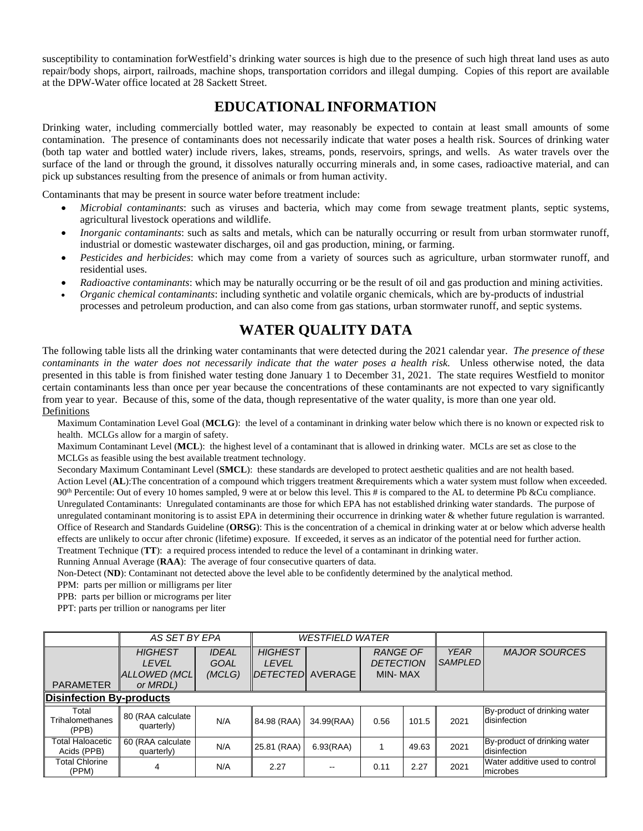susceptibility to contamination forWestfield's drinking water sources is high due to the presence of such high threat land uses as auto repair/body shops, airport, railroads, machine shops, transportation corridors and illegal dumping. Copies of this report are available at the DPW-Water office located at 28 Sackett Street.

### **EDUCATIONALINFORMATION**

Drinking water, including commercially bottled water, may reasonably be expected to contain at least small amounts of some contamination. The presence of contaminants does not necessarily indicate that water poses a health risk. Sources of drinking water (both tap water and bottled water) include rivers, lakes, streams, ponds, reservoirs, springs, and wells. As water travels over the surface of the land or through the ground, it dissolves naturally occurring minerals and, in some cases, radioactive material, and can pick up substances resulting from the presence of animals or from human activity.

Contaminants that may be present in source water before treatment include:

- *Microbial contaminants*: such as viruses and bacteria, which may come from sewage treatment plants, septic systems, agricultural livestock operations and wildlife.
- *Inorganic contaminants*: such as salts and metals, which can be naturally occurring or result from urban stormwater runoff, industrial or domestic wastewater discharges, oil and gas production, mining, or farming.
- *Pesticides and herbicides*: which may come from a variety of sources such as agriculture, urban stormwater runoff, and residential uses.
- *Radioactive contaminants*: which may be naturally occurring or be the result of oil and gas production and mining activities.
- *Organic chemical contaminants*: including synthetic and volatile organic chemicals, which are by-products of industrial processes and petroleum production, and can also come from gas stations, urban stormwater runoff, and septic systems.

## **WATER QUALITY DATA**

The following table lists all the drinking water contaminants that were detected during the 2021 calendar year. *The presence of these* contaminants in the water does not necessarily indicate that the water poses a health risk. Unless otherwise noted, the data presented in this table is from finished water testing done January 1 to December 31, 2021. The state requires Westfield to monitor certain contaminants less than once per year because the concentrations of these contaminants are not expected to vary significantly from year to year. Because of this, some of the data, though representative of the water quality, is more than one year old. **Definitions** 

Maximum Contamination Level Goal (**MCLG**): the level of a contaminant in drinking water below which there is no known or expected risk to health. MCLGs allow for a margin of safety.

Maximum Contaminant Level (**MCL**): the highest level of a contaminant that is allowed in drinking water. MCLs are set as close to the MCLGs as feasible using the best available treatment technology.

Secondary Maximum Contaminant Level (**SMCL**): these standards are developed to protect aesthetic qualities and are not health based. Action Level (**AL**):The concentration of a compound which triggers treatment &requirements which a water system must follow when exceeded. 90<sup>th</sup> Percentile: Out of every 10 homes sampled, 9 were at or below this level. This # is compared to the AL to determine Pb &Cu compliance. Unregulated Contaminants: Unregulated contaminants are those for which EPA has not established drinking water standards. The purpose of unregulated contaminant monitoring is to assist EPA in determining their occurrence in drinking water & whether future regulation is warranted. Office of Research and Standards Guideline (**ORSG**): This is the concentration of a chemical in drinking water at or below which adverse health effects are unlikely to occur after chronic (lifetime) exposure. If exceeded, it serves as an indicator of the potential need for further action. Treatment Technique (**TT**): a required process intended to reduce the level of a contaminant in drinking water.

Running Annual Average (**RAA**): The average of four consecutive quarters of data.

Non-Detect (**ND**): Contaminant not detected above the level able to be confidently determined by the analytical method.

PPM: parts per million or milligrams per liter

PPB: parts per billion or micrograms per liter

PPT: parts per trillion or nanograms per liter

|                                          | AS SET BY EPA                                              |                                       |                                                               | <b>WESTFIELD WATER</b>   |                                                |       |                               |                                              |
|------------------------------------------|------------------------------------------------------------|---------------------------------------|---------------------------------------------------------------|--------------------------|------------------------------------------------|-------|-------------------------------|----------------------------------------------|
| <b>PARAMETER</b>                         | <b>HIGHEST</b><br><b>LEVEL</b><br>ALLOWED (MCL<br>or MRDL) | <b>IDEAL</b><br><b>GOAL</b><br>(MCLG) | <b>HIGHEST</b><br><b>LEVEL</b><br>I <i>DETECTED</i> I AVERAGE |                          | <b>RANGE OF</b><br><b>DETECTION</b><br>MIN-MAX |       | <b>YEAR</b><br><b>SAMPLED</b> | <b>MAJOR SOURCES</b>                         |
| <b>Disinfection By-products</b>          |                                                            |                                       |                                                               |                          |                                                |       |                               |                                              |
|                                          |                                                            |                                       |                                                               |                          |                                                |       |                               |                                              |
| Total<br><b>Trihalomethanes</b><br>(PPB) | 80 (RAA calculate<br>quarterly)                            | N/A                                   | 84.98 (RAA)                                                   | 34.99(RAA)               | 0.56                                           | 101.5 | 2021                          | By-product of drinking water<br>disinfection |
| Total Haloacetic<br>Acids (PPB)          | 60 (RAA calculate<br>quarterly)                            | N/A                                   | 25.81 (RAA)                                                   | 6.93(RAA)                |                                                | 49.63 | 2021                          | By-product of drinking water<br>disinfection |
| <b>Total Chlorine</b><br>(PPM)           | 4                                                          | N/A                                   | 2.27                                                          | $\overline{\phantom{a}}$ | 0.11                                           | 2.27  | 2021                          | Water additive used to control<br>microbes   |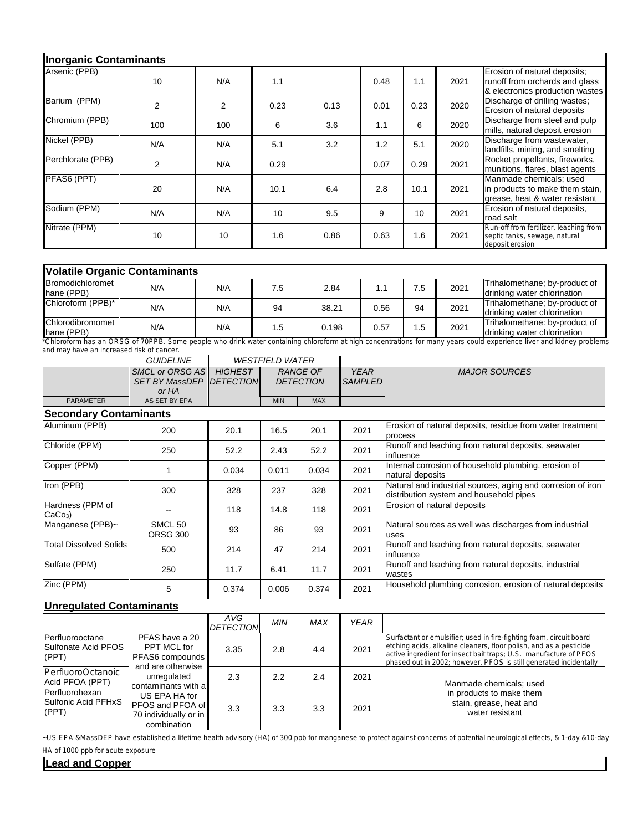| Inorganic Contaminants |                |                |      |      |      |      |      |                                                                                                   |
|------------------------|----------------|----------------|------|------|------|------|------|---------------------------------------------------------------------------------------------------|
| Arsenic (PPB)          | 10             | N/A            | 1.1  |      | 0.48 | 1.1  | 2021 | Erosion of natural deposits;<br>runoff from orchards and glass<br>& electronics production wastes |
| Barium (PPM)           | $\overline{2}$ | $\overline{2}$ | 0.23 | 0.13 | 0.01 | 0.23 | 2020 | Discharge of drilling wastes;<br>Erosion of natural deposits                                      |
| Chromium (PPB)         | 100            | 100            | 6    | 3.6  | 1.1  | 6    | 2020 | Discharge from steel and pulp<br>mills, natural deposit erosion                                   |
| Nickel (PPB)           | N/A            | N/A            | 5.1  | 3.2  | 1.2  | 5.1  | 2020 | Discharge from wastewater,<br>landfills, mining, and smelting                                     |
| Perchlorate (PPB)      | $\overline{2}$ | N/A            | 0.29 |      | 0.07 | 0.29 | 2021 | Rocket propellants, fireworks,<br>munitions, flares, blast agents                                 |
| PFAS6 (PPT)            | 20             | N/A            | 10.1 | 6.4  | 2.8  | 10.1 | 2021 | Manmade chemicals; used<br>in products to make them stain,<br>grease, heat & water resistant      |
| Sodium (PPM)           | N/A            | N/A            | 10   | 9.5  | 9    | 10   | 2021 | Erosion of natural deposits,<br>road salt                                                         |
| Nitrate (PPM)          | 10             | 10             | 1.6  | 0.86 | 0.63 | 1.6  | 2021 | Run-off from fertilizer, leaching from<br>septic tanks, sewage, natural<br>deposit erosion        |

| <b>Volatile Organic Contaminants</b>  |     |     |     |       |      |     |      |                                                              |  |  |
|---------------------------------------|-----|-----|-----|-------|------|-----|------|--------------------------------------------------------------|--|--|
| <b>Bromodichloromet</b><br>hane (PPB) | N/A | N/A | 7.5 | 2.84  |      | 7.5 | 2021 | Trihalomethane; by-product of<br>drinking water chlorination |  |  |
| Chloroform (PPB)*                     | N/A | N/A | 94  | 38.21 | 0.56 | 94  | 2021 | Trihalomethane; by-product of<br>drinking water chlorination |  |  |
| Chlorodibromomet<br>∥hane (PPB)       | N/A | N/A | 1.5 | 0.198 | 0.57 | 1.5 | 2021 | Trihalomethane: by-product of<br>drinking water chlorination |  |  |

\*Chloroform has an ORSG of 70PPB. Some people who drink water containing chloroform at high concentrations for many years could experience liver and kidney problems and may have an increased risk of cancer.

|                                                            | <b>GUIDELINE</b>                                                    | <b>WESTFIELD WATER</b>  |                                     |            |                               |                                                                                                                                                                                                                                                                                     |
|------------------------------------------------------------|---------------------------------------------------------------------|-------------------------|-------------------------------------|------------|-------------------------------|-------------------------------------------------------------------------------------------------------------------------------------------------------------------------------------------------------------------------------------------------------------------------------------|
|                                                            | <b>SMCL or ORSG AS</b><br><b>SET BY MassDEP IDETECTION</b><br>or HA | <b>HIGHEST</b>          | <b>RANGE OF</b><br><b>DETECTION</b> |            | <b>YEAR</b><br><b>SAMPLED</b> | <b>MAJOR SOURCES</b>                                                                                                                                                                                                                                                                |
| <b>PARAMETER</b>                                           | AS SET BY EPA                                                       |                         | <b>MIN</b>                          | <b>MAX</b> |                               |                                                                                                                                                                                                                                                                                     |
| <b>Secondary Contaminants</b>                              |                                                                     |                         |                                     |            |                               |                                                                                                                                                                                                                                                                                     |
| Aluminum (PPB)                                             | 200                                                                 | 20.1                    | 16.5                                | 20.1       | 2021                          | Erosion of natural deposits, residue from water treatment<br>process                                                                                                                                                                                                                |
| Chloride (PPM)                                             | 250                                                                 | 52.2                    | 2.43                                | 52.2       | 2021                          | Runoff and leaching from natural deposits, seawater<br>linfluence                                                                                                                                                                                                                   |
| Copper (PPM)                                               | 1                                                                   | 0.034                   | 0.011                               | 0.034      | 2021                          | Internal corrosion of household plumbing, erosion of<br>natural deposits                                                                                                                                                                                                            |
| Iron (PPB)                                                 | 300                                                                 | 328                     | 237                                 | 328        | 2021                          | Natural and industrial sources, aging and corrosion of iron<br>distribution system and household pipes                                                                                                                                                                              |
| Hardness (PPM of<br>$ CaCo3\rangle$                        | $-$                                                                 | 118                     | 14.8                                | 118        | 2021                          | Erosion of natural deposits                                                                                                                                                                                                                                                         |
| Manganese (PPB)~                                           | SMCL <sub>50</sub><br><b>ORSG 300</b>                               | 93                      | 86                                  | 93         | 2021                          | Natural sources as well was discharges from industrial<br>uses                                                                                                                                                                                                                      |
| <b>Total Dissolved Solids</b>                              | 500                                                                 | 214                     | 47                                  | 214        | 2021                          | Runoff and leaching from natural deposits, seawater<br>influence                                                                                                                                                                                                                    |
| Sulfate (PPM)                                              | 250                                                                 | 11.7                    | 6.41                                | 11.7       | 2021                          | Runoff and leaching from natural deposits, industrial<br>wastes                                                                                                                                                                                                                     |
| Zinc (PPM)                                                 | 5                                                                   | 0.374                   | 0.006                               | 0.374      | 2021                          | Household plumbing corrosion, erosion of natural deposits                                                                                                                                                                                                                           |
| <b>Unregulated Contaminants</b>                            |                                                                     |                         |                                     |            |                               |                                                                                                                                                                                                                                                                                     |
|                                                            |                                                                     | AVG<br><b>DETECTION</b> | <b>MIN</b>                          | <b>MAX</b> | <b>YEAR</b>                   |                                                                                                                                                                                                                                                                                     |
| Perfluorooctane<br><b>Sulfonate Acid PFOS</b><br>$ $ (PPT) | PFAS have a 20<br>PPT MCL for<br>PFAS6 compounds                    | 3.35                    | 2.8                                 | 4.4        | 2021                          | Surfactant or emulsifier; used in fire-fighting foam, circuit board<br>etching acids, alkaline cleaners, floor polish, and as a pesticide<br>active ingredient for insect bait traps; U.S. manufacture of PFOS<br>phased out in 2002; however, PFOS is still generated incidentally |
| PerfluoroOctanoic<br>Acid PFOA (PPT)                       | and are otherwise<br>unregulated<br>contaminants with a             | 2.3                     | 2.2                                 | 2.4        | 2021                          | Manmade chemicals; used                                                                                                                                                                                                                                                             |
| ومروم والمعرمان بالإسماك                                   |                                                                     |                         |                                     |            |                               |                                                                                                                                                                                                                                                                                     |

US EPA HA for PFOS and PFOA of  $(PPT)$   $P$ FOS and PFOA or  $3.3$   $3.3$   $3.3$   $3.3$   $2021$ combination in products to make them stain, grease, heat and water resistant Perfluorohexan Sulfonic Acid PFHxS<br>(PPT)

~US EPA &MassDEP have established a lifetime health advisory (HA) of 300 ppb for manganese to protect against concerns of potential neurological effects, & 1-day &10-day HA of 1000 ppb for acute exposure

**Lead and Copper**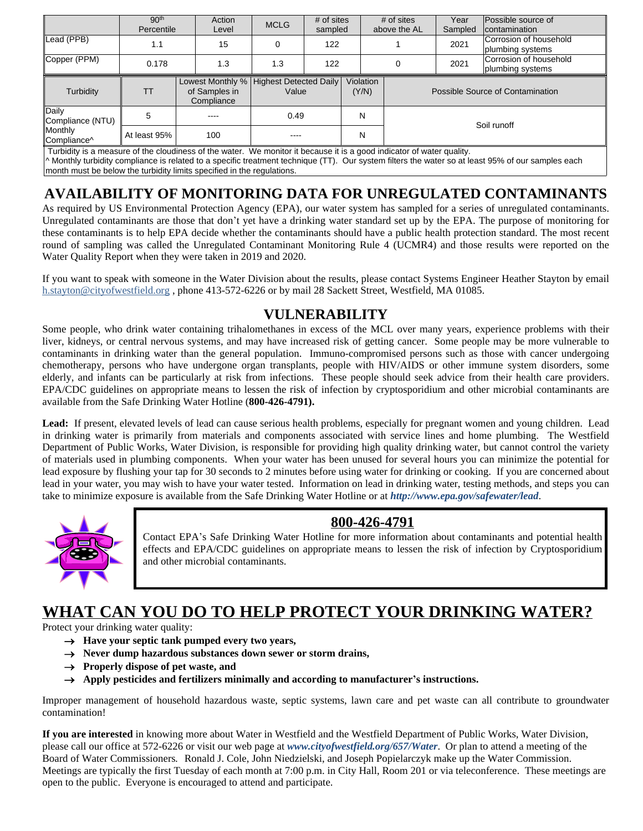|                               | 90 <sup>th</sup><br>Percentile | Action<br>Level             | <b>MCLG</b>                                        | # of sites<br>sampled |                    | # of sites<br>above the AL | Year<br>Sampled | Possible source of<br>contamination        |  |
|-------------------------------|--------------------------------|-----------------------------|----------------------------------------------------|-----------------------|--------------------|----------------------------|-----------------|--------------------------------------------|--|
| Lead (PPB)                    | 1.1                            | 15                          | 0                                                  | 122                   |                    |                            | 2021            | Corrosion of household<br>plumbing systems |  |
| Copper (PPM)                  | 0.178                          | 1.3                         | 1.3                                                | 122                   |                    |                            | 2021            | Corrosion of household<br>plumbing systems |  |
| Turbidity                     | TТ                             | of Samples in<br>Compliance | Lowest Monthly %   Highest Detected Daily<br>Value |                       | Violation<br>(Y/N) |                            |                 | Possible Source of Contamination           |  |
| Daily<br>Compliance (NTU)     | 5                              | ----                        | 0.49                                               |                       | N                  |                            | Soil runoff     |                                            |  |
| <b>Monthly</b><br>Compliance^ | At least 95%                   | 100                         |                                                    |                       | N                  |                            |                 |                                            |  |

Turbidity is a measure of the cloudiness of the water. We monitor it because it is a good indicator of water quality.

^ Monthly turbidity compliance is related to a specific treatment technique (TT). Our system filters the water so at least 95% of our samples each month must be below the turbidity limits specified in the regulations.

# **AVAILABILITY OF MONITORING DATA FOR UNREGULATED CONTAMINANTS**

As required by US Environmental Protection Agency (EPA), our water system has sampled for a series of unregulated contaminants. Unregulated contaminants are those that don't yet have a drinking water standard set up by the EPA. The purpose of monitoring for these contaminants is to help EPA decide whether the contaminants should have a public health protection standard. The most recent round of sampling was called the Unregulated Contaminant Monitoring Rule 4 (UCMR4) and those results were reported on the Water Quality Report when they were taken in 2019 and 2020.

If you want to speak with someone in the Water Division about the results, please contact Systems Engineer Heather Stayton by email h.stayton@cityofwestfield.org , phone 413-572-6226 or by mail 28 Sackett Street, Westfield, MA 01085.

## **VULNERABILITY**

Some people, who drink water containing trihalomethanes in excess of the MCL over many years, experience problems with their liver, kidneys, or central nervous systems, and may have increased risk of getting cancer. Some people may be more vulnerable to contaminants in drinking water than the general population. Immuno-compromised persons such as those with cancer undergoing chemotherapy, persons who have undergone organ transplants, people with HIV/AIDS or other immune system disorders, some elderly, and infants can be particularly at risk from infections. These people should seek advice from their health care providers. EPA/CDC guidelines on appropriate means to lessen the risk of infection by cryptosporidium and other microbial contaminants are available from the Safe Drinking Water Hotline (**800-426-4791).**

Lead: If present, elevated levels of lead can cause serious health problems, especially for pregnant women and young children. Lead in drinking water is primarily from materials and components associated with service lines and home plumbing. The Westfield Department of Public Works, Water Division, is responsible for providing high quality drinking water, but cannot control the variety of materials used in plumbing components. When your water has been unused for several hours you can minimize the potential for lead exposure by flushing your tap for 30 seconds to 2 minutes before using water for drinking or cooking. If you are concerned about lead in your water, you may wish to have your water tested. Information on lead in drinking water, testing methods, and steps you can take to minimize exposure is available from the Safe Drinking Water Hotline or at *http://www.epa.gov/safewater/lead*.



#### **800-426-4791**

Contact EPA's Safe Drinking Water Hotline for more information about contaminants and potential health effects and EPA/CDC guidelines on appropriate means to lessen the risk of infection by Cryptosporidium and other microbial contaminants.

# **WHAT CAN YOU DO TO HELP PROTECT YOUR DRINKING WATER?**

Protect your drinking water quality:

- **Have your septic tank pumped every two years,**
- **Never dump hazardous substances down sewer or storm drains,**
- $\rightarrow$  Properly dispose of pet waste, and
- **Apply pesticides and fertilizers minimally and according to manufacturer's instructions.**

Improper management of household hazardous waste, septic systems, lawn care and pet waste can all contribute to groundwater contamination!

**If you are interested** in knowing more about Water in Westfield and the Westfield Department of Public Works, Water Division, please call our office at 572-6226 or visit our web page at *www.cityofwestfield.org/657/Water*.Or plan to attend a meeting of the Board of Water Commissioners*.* Ronald J. Cole, John Niedzielski, and Joseph Popielarczyk make up the Water Commission. Meetings are typically the first Tuesday of each month at 7:00 p.m. in City Hall, Room 201 or via teleconference. These meetings are open to the public. Everyone is encouraged to attend and participate.